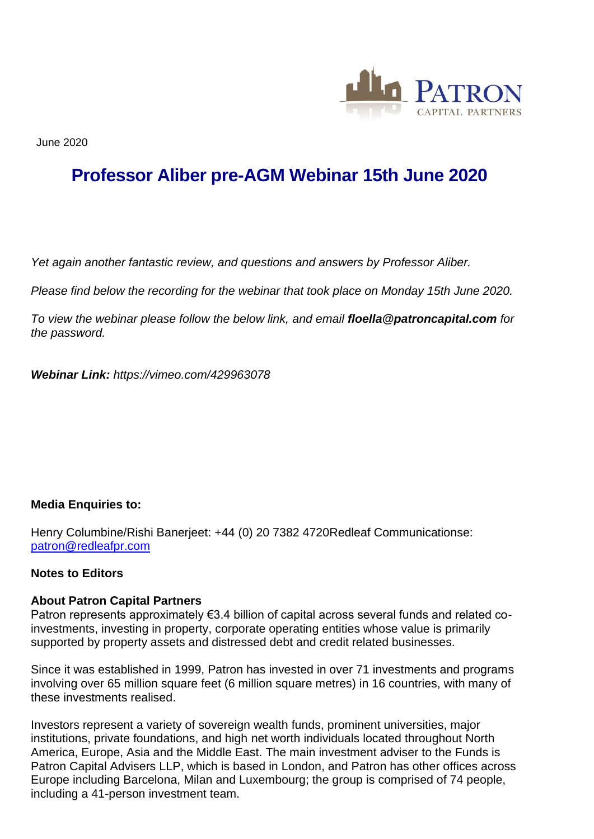

June 2020

## **Professor Aliber pre-AGM Webinar 15th June 2020**

*Yet again another fantastic review, and questions and answers by Professor Aliber.*

*Please find below the recording for the webinar that took place on Monday 15th June 2020.*

*To view the webinar please follow the below link, and email floella@patroncapital.com for the password.*

*Webinar Link: https://vimeo.com/429963078*

## **Media Enquiries to:**

Henry Columbine/Rishi Banerjeet: +44 (0) 20 7382 4720Redleaf Communicationse: [patron@redleafpr.com](mailto:patron@redleafpr.com)

## **Notes to Editors**

## **About Patron Capital Partners**

Patron represents approximately €3.4 billion of capital across several funds and related coinvestments, investing in property, corporate operating entities whose value is primarily supported by property assets and distressed debt and credit related businesses.

Since it was established in 1999, Patron has invested in over 71 investments and programs involving over 65 million square feet (6 million square metres) in 16 countries, with many of these investments realised.

Investors represent a variety of sovereign wealth funds, prominent universities, major institutions, private foundations, and high net worth individuals located throughout North America, Europe, Asia and the Middle East. The main investment adviser to the Funds is Patron Capital Advisers LLP, which is based in London, and Patron has other offices across Europe including Barcelona, Milan and Luxembourg; the group is comprised of 74 people, including a 41-person investment team.